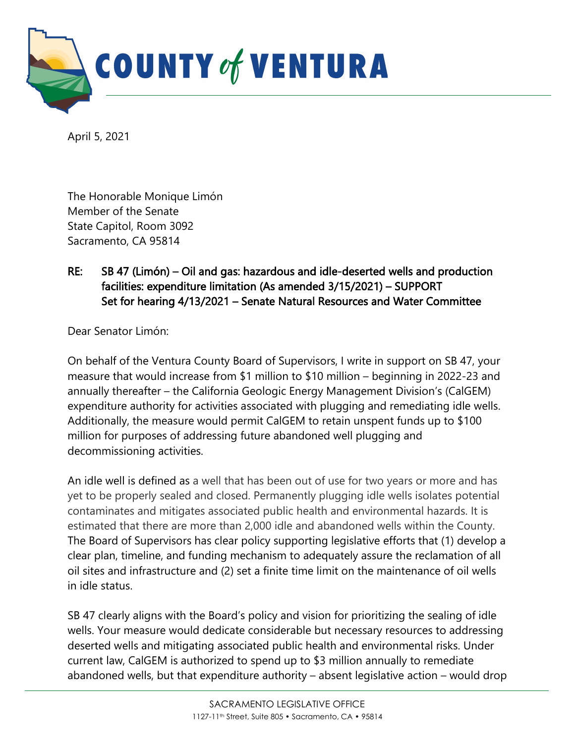

April 5, 2021

The Honorable Monique Limón Member of the Senate State Capitol, Room 3092 Sacramento, CA 95814

## RE: SB 47 (Limón) – Oil and gas: hazardous and idle-deserted wells and production facilities: expenditure limitation (As amended 3/15/2021) – SUPPORT Set for hearing 4/13/2021 – Senate Natural Resources and Water Committee

Dear Senator Limón:

On behalf of the Ventura County Board of Supervisors, I write in support on SB 47, your measure that would increase from \$1 million to \$10 million – beginning in 2022-23 and annually thereafter – the California Geologic Energy Management Division's (CalGEM) expenditure authority for activities associated with plugging and remediating idle wells. Additionally, the measure would permit CalGEM to retain unspent funds up to \$100 million for purposes of addressing future abandoned well plugging and decommissioning activities.

An idle well is defined as a well that has been out of use for two years or more and has yet to be properly sealed and closed. Permanently plugging idle wells isolates potential contaminates and mitigates associated public health and environmental hazards. It is estimated that there are more than 2,000 idle and abandoned wells within the County. The Board of Supervisors has clear policy supporting legislative efforts that (1) develop a clear plan, timeline, and funding mechanism to adequately assure the reclamation of all oil sites and infrastructure and (2) set a finite time limit on the maintenance of oil wells in idle status.

SB 47 clearly aligns with the Board's policy and vision for prioritizing the sealing of idle wells. Your measure would dedicate considerable but necessary resources to addressing deserted wells and mitigating associated public health and environmental risks. Under current law, CalGEM is authorized to spend up to \$3 million annually to remediate abandoned wells, but that expenditure authority – absent legislative action – would drop